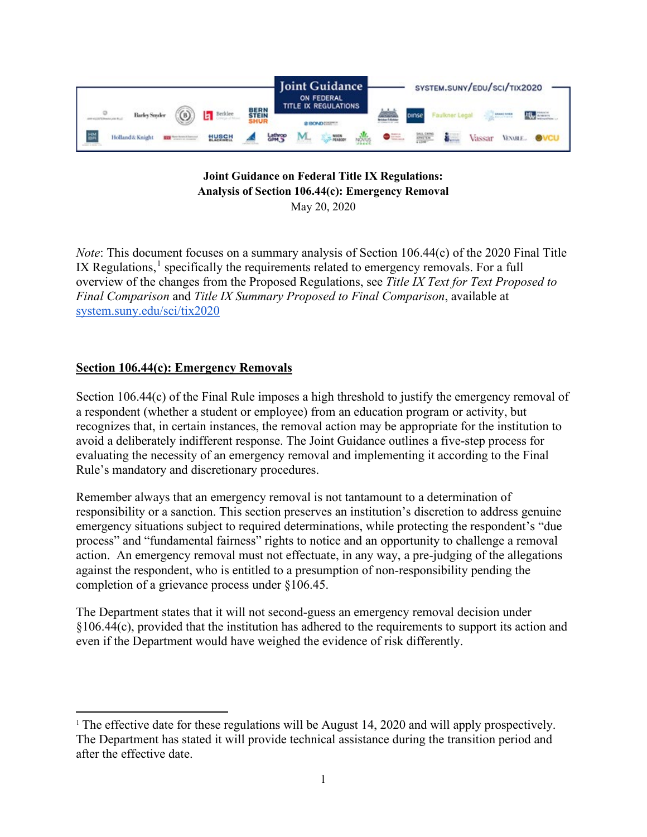

### **Joint Guidance on Federal Title IX Regulations: Analysis of Section 106.44(c): Emergency Removal** May 20, 2020

*Note*: This document focuses on a summary analysis of Section 106.44(c) of the 2020 Final Title IX Regulations, $<sup>1</sup>$  $<sup>1</sup>$  $<sup>1</sup>$  specifically the requirements related to emergency removals. For a full</sup> overview of the changes from the Proposed Regulations, see *Title IX Text for Text Proposed to Final Comparison* and *Title IX Summary Proposed to Final Comparison*, available at [system.suny.edu/sci/tix2020](https://system.suny.edu/sci/tix2020/)

## **Section 106.44(c): Emergency Removals**

Section 106.44(c) of the Final Rule imposes a high threshold to justify the emergency removal of a respondent (whether a student or employee) from an education program or activity, but recognizes that, in certain instances, the removal action may be appropriate for the institution to avoid a deliberately indifferent response. The Joint Guidance outlines a five-step process for evaluating the necessity of an emergency removal and implementing it according to the Final Rule's mandatory and discretionary procedures.

Remember always that an emergency removal is not tantamount to a determination of responsibility or a sanction. This section preserves an institution's discretion to address genuine emergency situations subject to required determinations, while protecting the respondent's "due process" and "fundamental fairness" rights to notice and an opportunity to challenge a removal action. An emergency removal must not effectuate, in any way, a pre-judging of the allegations against the respondent, who is entitled to a presumption of non-responsibility pending the completion of a grievance process under §106.45.

The Department states that it will not second-guess an emergency removal decision under §106.44(c), provided that the institution has adhered to the requirements to support its action and even if the Department would have weighed the evidence of risk differently.

<span id="page-0-0"></span><sup>&</sup>lt;sup>1</sup> The effective date for these regulations will be August 14, 2020 and will apply prospectively. The Department has stated it will provide technical assistance during the transition period and after the effective date.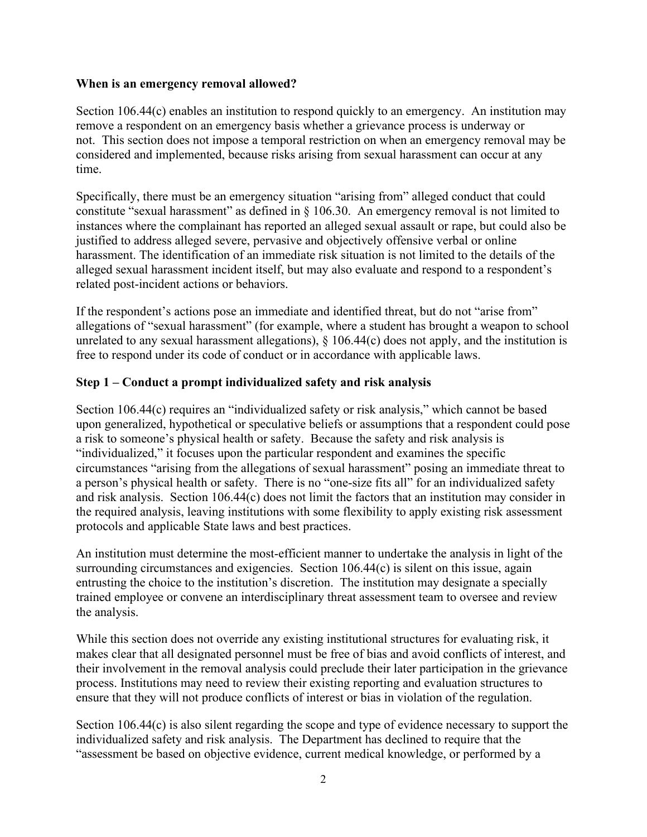#### **When is an emergency removal allowed?**

Section 106.44(c) enables an institution to respond quickly to an emergency. An institution may remove a respondent on an emergency basis whether a grievance process is underway or not. This section does not impose a temporal restriction on when an emergency removal may be considered and implemented, because risks arising from sexual harassment can occur at any time.

Specifically, there must be an emergency situation "arising from" alleged conduct that could constitute "sexual harassment" as defined in § 106.30. An emergency removal is not limited to instances where the complainant has reported an alleged sexual assault or rape, but could also be justified to address alleged severe, pervasive and objectively offensive verbal or online harassment. The identification of an immediate risk situation is not limited to the details of the alleged sexual harassment incident itself, but may also evaluate and respond to a respondent's related post-incident actions or behaviors.

If the respondent's actions pose an immediate and identified threat, but do not "arise from" allegations of "sexual harassment" (for example, where a student has brought a weapon to school unrelated to any sexual harassment allegations),  $\S$  106.44(c) does not apply, and the institution is free to respond under its code of conduct or in accordance with applicable laws.

## **Step 1 – Conduct a prompt individualized safety and risk analysis**

Section 106.44(c) requires an "individualized safety or risk analysis," which cannot be based upon generalized, hypothetical or speculative beliefs or assumptions that a respondent could pose a risk to someone's physical health or safety. Because the safety and risk analysis is "individualized," it focuses upon the particular respondent and examines the specific circumstances "arising from the allegations of sexual harassment" posing an immediate threat to a person's physical health or safety. There is no "one-size fits all" for an individualized safety and risk analysis. Section 106.44(c) does not limit the factors that an institution may consider in the required analysis, leaving institutions with some flexibility to apply existing risk assessment protocols and applicable State laws and best practices.

An institution must determine the most-efficient manner to undertake the analysis in light of the surrounding circumstances and exigencies. Section 106.44(c) is silent on this issue, again entrusting the choice to the institution's discretion. The institution may designate a specially trained employee or convene an interdisciplinary threat assessment team to oversee and review the analysis.

While this section does not override any existing institutional structures for evaluating risk, it makes clear that all designated personnel must be free of bias and avoid conflicts of interest, and their involvement in the removal analysis could preclude their later participation in the grievance process. Institutions may need to review their existing reporting and evaluation structures to ensure that they will not produce conflicts of interest or bias in violation of the regulation.

Section 106.44(c) is also silent regarding the scope and type of evidence necessary to support the individualized safety and risk analysis. The Department has declined to require that the "assessment be based on objective evidence, current medical knowledge, or performed by a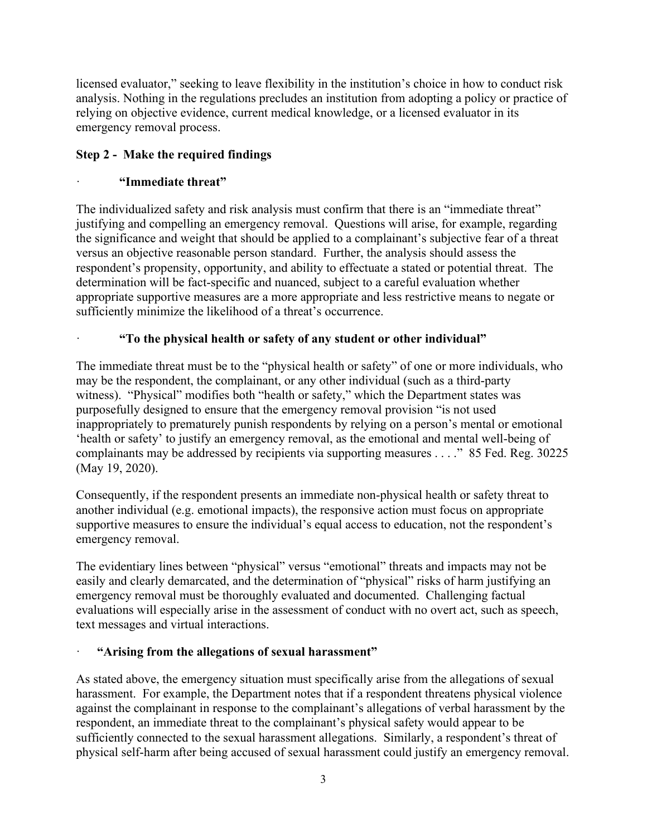licensed evaluator," seeking to leave flexibility in the institution's choice in how to conduct risk analysis. Nothing in the regulations precludes an institution from adopting a policy or practice of relying on objective evidence, current medical knowledge, or a licensed evaluator in its emergency removal process.

# **Step 2 - Make the required findings**

# · **"Immediate threat"**

The individualized safety and risk analysis must confirm that there is an "immediate threat" justifying and compelling an emergency removal. Questions will arise, for example, regarding the significance and weight that should be applied to a complainant's subjective fear of a threat versus an objective reasonable person standard. Further, the analysis should assess the respondent's propensity, opportunity, and ability to effectuate a stated or potential threat. The determination will be fact-specific and nuanced, subject to a careful evaluation whether appropriate supportive measures are a more appropriate and less restrictive means to negate or sufficiently minimize the likelihood of a threat's occurrence.

# · **"To the physical health or safety of any student or other individual"**

The immediate threat must be to the "physical health or safety" of one or more individuals, who may be the respondent, the complainant, or any other individual (such as a third-party witness). "Physical" modifies both "health or safety," which the Department states was purposefully designed to ensure that the emergency removal provision "is not used inappropriately to prematurely punish respondents by relying on a person's mental or emotional 'health or safety' to justify an emergency removal, as the emotional and mental well-being of complainants may be addressed by recipients via supporting measures . . . ." 85 Fed. Reg. 30225 (May 19, 2020).

Consequently, if the respondent presents an immediate non-physical health or safety threat to another individual (e.g. emotional impacts), the responsive action must focus on appropriate supportive measures to ensure the individual's equal access to education, not the respondent's emergency removal.

The evidentiary lines between "physical" versus "emotional" threats and impacts may not be easily and clearly demarcated, and the determination of "physical" risks of harm justifying an emergency removal must be thoroughly evaluated and documented. Challenging factual evaluations will especially arise in the assessment of conduct with no overt act, such as speech, text messages and virtual interactions.

## · **"Arising from the allegations of sexual harassment"**

As stated above, the emergency situation must specifically arise from the allegations of sexual harassment. For example, the Department notes that if a respondent threatens physical violence against the complainant in response to the complainant's allegations of verbal harassment by the respondent, an immediate threat to the complainant's physical safety would appear to be sufficiently connected to the sexual harassment allegations. Similarly, a respondent's threat of physical self-harm after being accused of sexual harassment could justify an emergency removal.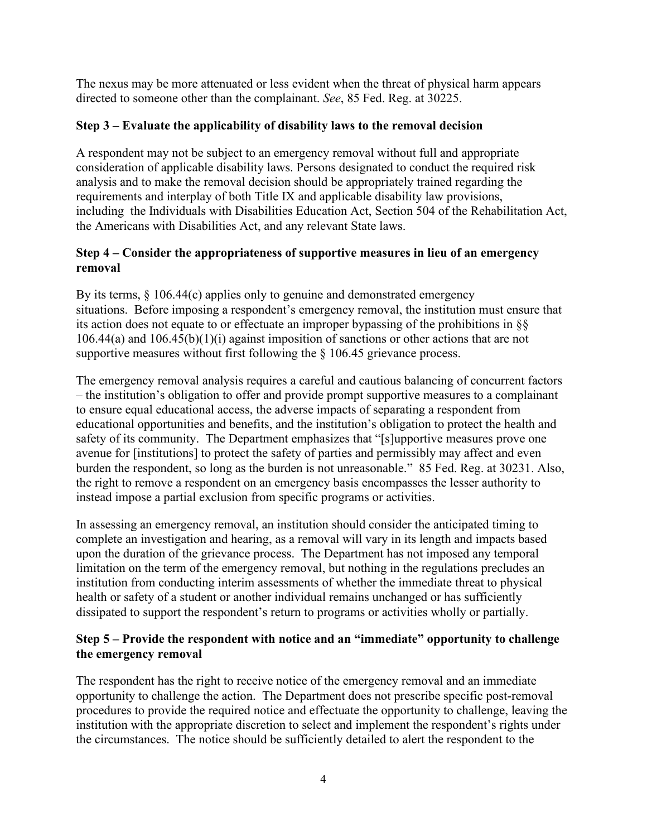The nexus may be more attenuated or less evident when the threat of physical harm appears directed to someone other than the complainant. *See*, 85 Fed. Reg. at 30225.

## **Step 3 – Evaluate the applicability of disability laws to the removal decision**

A respondent may not be subject to an emergency removal without full and appropriate consideration of applicable disability laws. Persons designated to conduct the required risk analysis and to make the removal decision should be appropriately trained regarding the requirements and interplay of both Title IX and applicable disability law provisions, including the Individuals with Disabilities Education Act, Section 504 of the Rehabilitation Act, the Americans with Disabilities Act, and any relevant State laws.

## **Step 4 – Consider the appropriateness of supportive measures in lieu of an emergency removal**

By its terms, § 106.44(c) applies only to genuine and demonstrated emergency situations. Before imposing a respondent's emergency removal, the institution must ensure that its action does not equate to or effectuate an improper bypassing of the prohibitions in §§ 106.44(a) and 106.45(b)(1)(i) against imposition of sanctions or other actions that are not supportive measures without first following the § 106.45 grievance process.

The emergency removal analysis requires a careful and cautious balancing of concurrent factors – the institution's obligation to offer and provide prompt supportive measures to a complainant to ensure equal educational access, the adverse impacts of separating a respondent from educational opportunities and benefits, and the institution's obligation to protect the health and safety of its community. The Department emphasizes that "[s]upportive measures prove one avenue for [institutions] to protect the safety of parties and permissibly may affect and even burden the respondent, so long as the burden is not unreasonable." 85 Fed. Reg. at 30231. Also, the right to remove a respondent on an emergency basis encompasses the lesser authority to instead impose a partial exclusion from specific programs or activities.

In assessing an emergency removal, an institution should consider the anticipated timing to complete an investigation and hearing, as a removal will vary in its length and impacts based upon the duration of the grievance process. The Department has not imposed any temporal limitation on the term of the emergency removal, but nothing in the regulations precludes an institution from conducting interim assessments of whether the immediate threat to physical health or safety of a student or another individual remains unchanged or has sufficiently dissipated to support the respondent's return to programs or activities wholly or partially.

### **Step 5 – Provide the respondent with notice and an "immediate" opportunity to challenge the emergency removal**

The respondent has the right to receive notice of the emergency removal and an immediate opportunity to challenge the action. The Department does not prescribe specific post-removal procedures to provide the required notice and effectuate the opportunity to challenge, leaving the institution with the appropriate discretion to select and implement the respondent's rights under the circumstances. The notice should be sufficiently detailed to alert the respondent to the